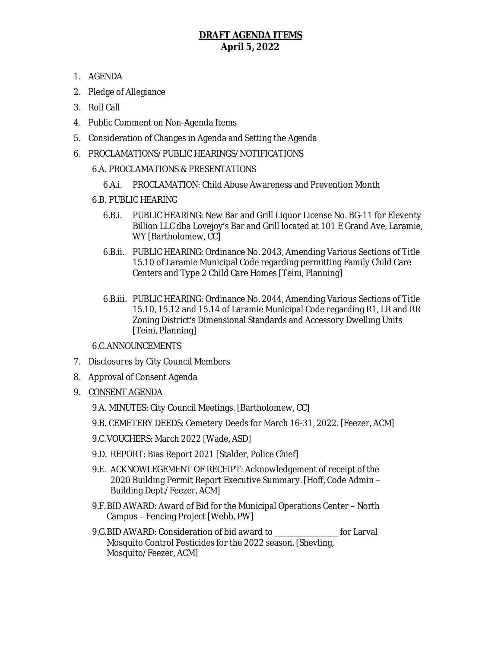# **DRAFT AGENDA ITEMS April 5, 2022**

- 1. AGENDA
- 2. Pledge of Allegiance
- 3. Roll Call
- 4. Public Comment on Non-Agenda Items
- 5. Consideration of Changes in Agenda and Setting the Agenda
- 6. PROCLAMATIONS/PUBLIC HEARINGS/NOTIFICATIONS

### 6.A. PROCLAMATIONS & PRESENTATIONS

- 6.A.i. PROCLAMATION: Child Abuse Awareness and Prevention Month
- 6.B. PUBLIC HEARING
	- 6.B.i. PUBLIC HEARING: New Bar and Grill Liquor License No. BG-11 for Eleventy Billion LLC dba Lovejoy's Bar and Grill located at 101 E Grand Ave, Laramie, WY [Bartholomew, CC]
	- 6.B.ii. PUBLIC HEARING: Ordinance No. 2043, Amending Various Sections of Title 15.10 of Laramie Municipal Code regarding permitting Family Child Care Centers and Type 2 Child Care Homes [Teini, Planning]
	- 6.B.iii. PUBLIC HEARING: Ordinance No. 2044, Amending Various Sections of Title 15.10, 15.12 and 15.14 of Laramie Municipal Code regarding R1, LR and RR Zoning District's Dimensional Standards and Accessory Dwelling Units [Teini, Planning]

### 6.C.ANNOUNCEMENTS

- 7. Disclosures by City Council Members
- 8. Approval of Consent Agenda
- 9. CONSENT AGENDA
	- 9.A. MINUTES: City Council Meetings. [Bartholomew, CC]
	- 9.B. CEMETERY DEEDS: Cemetery Deeds for March 16-31, 2022. [Feezer, ACM]
	- 9.C.VOUCHERS: March 2022 [Wade, ASD]
	- 9.D. REPORT: Bias Report 2021 [Stalder, Police Chief]
	- 9.E. ACKNOWLEGEMENT OF RECEIPT: Acknowledgement of receipt of the 2020 Building Permit Report Executive Summary. [Hoff, Code Admin – Building Dept./Feezer, ACM]
	- 9.F.BID AWARD: Award of Bid for the Municipal Operations Center North Campus – Fencing Project [Webb, PW]
	- 9.G.BID AWARD: Consideration of bid award to \_\_\_\_\_\_\_\_\_\_\_\_\_\_\_\_\_\_\_ for Larval Mosquito Control Pesticides for the 2022 season. [Shevling, Mosquito/Feezer, ACM]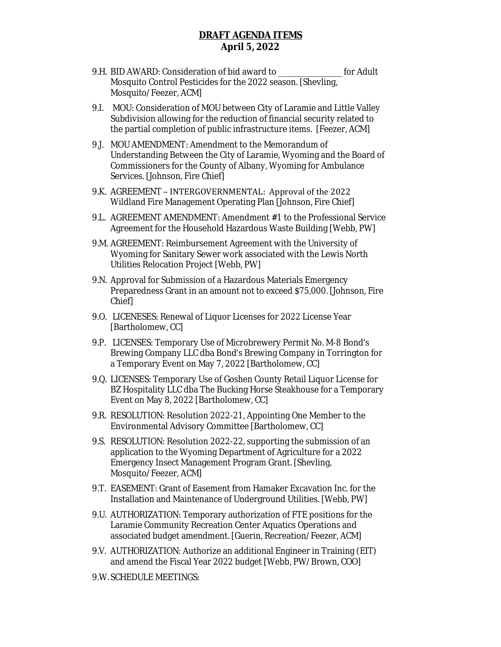## **DRAFT AGENDA ITEMS April 5, 2022**

- 9.H. BID AWARD: Consideration of bid award to \_\_\_\_\_\_\_\_\_\_\_\_\_\_\_\_\_\_\_ for Adult Mosquito Control Pesticides for the 2022 season. [Shevling, Mosquito/Feezer, ACM]
- 9.I. MOU: Consideration of MOU between City of Laramie and Little Valley Subdivision allowing for the reduction of financial security related to the partial completion of public infrastructure items.[Feezer, ACM]
- 9.J. MOU AMENDMENT: Amendment to the Memorandum of Understanding Between the City of Laramie, Wyoming and the Board of Commissioners for the County of Albany, Wyoming for Ambulance Services. [Johnson, Fire Chief]
- 9.K. AGREEMENT INTERGOVERNMENTAL: Approval of the 2022 Wildland Fire Management Operating Plan [Johnson, Fire Chief]
- 9.L. AGREEMENT AMENDMENT: Amendment #1 to the Professional Service Agreement for the Household Hazardous Waste Building [Webb, PW]
- 9.M. AGREEMENT: Reimbursement Agreement with the University of Wyoming for Sanitary Sewer work associated with the Lewis North Utilities Relocation Project [Webb, PW]
- 9.N. Approval for Submission of a Hazardous Materials Emergency Preparedness Grant in an amount not to exceed \$75,000. [Johnson, Fire Chief]
- 9.O. LICENESES: Renewal of Liquor Licenses for 2022 License Year [Bartholomew, CC]
- 9.P. LICENSES: Temporary Use of Microbrewery Permit No. M-8 Bond's Brewing Company LLC dba Bond's Brewing Company in Torrington for a Temporary Event on May 7, 2022 [Bartholomew, CC]
- 9.Q. LICENSES: Temporary Use of Goshen County Retail Liquor License for BZ Hospitality LLC dba The Bucking Horse Steakhouse for a Temporary Event on May 8, 2022 [Bartholomew, CC]
- 9.R. RESOLUTION: Resolution 2022-21, Appointing One Member to the Environmental Advisory Committee [Bartholomew, CC]
- 9.S. RESOLUTION: Resolution 2022-22, supporting the submission of an application to the Wyoming Department of Agriculture for a 2022 Emergency Insect Management Program Grant. [Shevling, Mosquito/Feezer, ACM]
- 9.T. EASEMENT: Grant of Easement from Hamaker Excavation Inc. for the Installation and Maintenance of Underground Utilities. [Webb, PW]
- 9.U. AUTHORIZATION: Temporary authorization of FTE positions for the Laramie Community Recreation Center Aquatics Operations and associated budget amendment. [Guerin, Recreation/Feezer, ACM]
- 9.V. AUTHORIZATION: Authorize an additional Engineer in Training (EIT) and amend the Fiscal Year 2022 budget [Webb, PW/Brown, COO]
- 9.W. SCHEDULE MEETINGS: